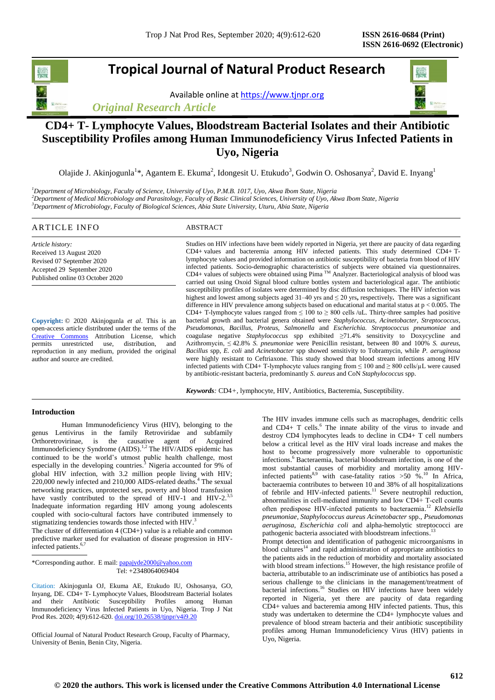### **Tropical Journal of Natural Product Research**

Available online a[t https://www.tjnpr.org](https://www.tjnpr.org/)

*Original Research Article*



### **CD4+ T- Lymphocyte Values, Bloodstream Bacterial Isolates and their Antibiotic Susceptibility Profiles among Human Immunodeficiency Virus Infected Patients in Uyo, Nigeria**

Olajide J. Akinjogunla<sup>1\*</sup>, Agantem E. Ekuma<sup>2</sup>, Idongesit U. Etukudo<sup>3</sup>, Godwin O. Oshosanya<sup>2</sup>, David E. Inyang<sup>1</sup>

*<sup>1</sup>Department of Microbiology, Faculty of Science, University of Uyo, P.M.B. 1017, Uyo, Akwa Ibom State, Nigeria <sup>2</sup>Department of Medical Microbiology and Parasitology, Faculty of Basic Clinical Sciences, University of Uyo, Akwa Ibom State, Nigeria <sup>3</sup>Department of Microbiology, Faculty of Biological Sciences, Abia State University, Uturu, Abia State, Nigeria*

#### ARTICLE INFO ABSTRACT

*Article history:* Received 13 August 2020 Revised 07 September 2020 Accepted 29 September 2020 Published online 03 October 2020

**Copyright:** © 2020 Akinjogunla *et al*. This is an open-access article distributed under the terms of the [Creative Commons](https://creativecommons.org/licenses/by/4.0/) Attribution License, which permits unrestricted use, distribution, and reproduction in any medium, provided the original author and source are credited.

Studies on HIV infections have been widely reported in Nigeria, yet there are paucity of data regarding CD4+ values and bacteremia among HIV infected patients. This study determined CD4+ Tlymphocyte values and provided information on antibiotic susceptibility of bacteria from blood of HIV infected patients. Socio-demographic characteristics of subjects were obtained via questionnaires. CD4+ values of subjects were obtained using Pima<sup>TM</sup> Analyzer. Bacteriological analysis of blood was carried out using Oxoid Signal blood culture bottles system and bacteriological agar. The antibiotic susceptibility profiles of isolates were determined by disc diffusion techniques. The HIV infection was highest and lowest among subjects aged 31–40 yrs and ≤ 20 yrs**,** respectively**.** There was a significant difference in HIV prevalence among subjects based on educational and marital status at p < 0.005. The CD4+ T-lymphocyte values ranged from  $\leq 100$  to  $\geq 800$  cells /uL. Thirty-three samples had positive bacterial growth and bacterial genera obtained were *Staphylococcus, Acinetobacter, Streptococcus, Pseudomonas, Bacillus, Proteus, Salmonella* and *Escherichia. Streptococcus pneumoniae* and coagulase negative *Staphylococcus* spp exhibited *≥*71.4% sensitivity to Doxycycline and Azithromycin, ≤ 42.8% *S. pneumoniae* were Penicillin resistant, between 80 and 100% *S. aureus, Bacillus* spp, *E. coli* and *Acinetobacter* spp showed sensitivity to Tobramycin, while *P. aeruginosa* were highly resistant to Ceftriaxone. This study showed that blood stream infections among HIV infected patients with CD4+ T-lymphocyte values ranging from ≤ 100 and ≥ 800 cells/µL were caused by antibiotic-resistant bacteria, predominantly *S. aureus* and CoN *Staphylococcus* spp.

*Keywords:* CD4*+,* lymphocyte, HIV, Antibiotics, Bacteremia, Susceptibility.

#### **Introduction**

Human Immunodeficiency Virus (HIV), belonging to the genus Lentivirus in the family Retroviridae and subfamily Orthoretrovirinae, is the causative agent of Acquired Immunodeficiency Syndrome (AIDS).<sup>1,2</sup> The HIV/AIDS epidemic has continued to be the world's utmost public health challenge, most especially in the developing countries.<sup>3</sup> Nigeria accounted for 9% of global HIV infection, with 3.2 million people living with HIV; 220,000 newly infected and 210,000 AIDS-related deaths.<sup>4</sup> The sexual networking practices, unprotected sex, poverty and blood transfusion have vastly contributed to the spread of HIV-1 and HIV-2.<sup>3,5</sup> Inadequate information regarding HIV among young adolescents coupled with socio-cultural factors have contributed immensely to stigmatizing tendencies towards those infected with HIV.<sup>3</sup>

The cluster of differentiation 4 (CD4+) value is a reliable and common predictive marker used for evaluation of disease progression in HIVinfected patients.<sup>6,7</sup>

\*Corresponding author. E mail: papajyde2000@yahoo.com Tel: +2348064069404

Citation: Akinjogunla OJ, Ekuma AE, Etukudo IU, Oshosanya, GO, Inyang, DE. CD4+ T- Lymphocyte Values, Bloodstream Bacterial Isolates and their Antibiotic Susceptibility Profiles among Human Immunodeficiency Virus Infected Patients in Uyo, Nigeria. Trop J Nat Prod Res. 2020; 4(9):612-620. [doi.org/10.26538/tjnpr/v4i9.2](http://www.doi.org/10.26538/tjnpr/v1i4.5)0

Official Journal of Natural Product Research Group, Faculty of Pharmacy, University of Benin, Benin City, Nigeria.

The HIV invades immune cells such as macrophages, dendritic cells and CD4+ T cells. 6 The innate ability of the virus to invade and destroy CD4 lymphocytes leads to decline in CD4+ T cell numbers below a critical level as the HIV viral loads increase and makes the host to become progressively more vulnerable to opportunistic infections. <sup>6</sup> Bacteraemia, bacterial bloodstream infection, is one of the most substantial causes of morbidity and mortality among HIVinfected patients<sup>8,9</sup> with case-fatality ratios  $>50\%$ .<sup>10</sup> In Africa, bacteraemia contributes to between 10 and 38% of all hospitalizations of febrile and HIV-infected patients. <sup>11</sup> Severe neutrophil reduction, abnormalities in cell‐mediated immunity and low CD4+ T‐cell counts often predispose HIV‐infected patients to bacteraemia. <sup>12</sup> *Klebsiella pneumoniae, Staphylococcus aureus Acinetobacter* spp., *Pseudomonas aeruginosa*, *Escherichia coli* and alpha-hemolytic streptococci are pathogenic bacteria associated with bloodstream infections.<sup>13</sup>  $\overline{a}$ 

Prompt detection and identification of pathogenic microorganisms in blood cultures<sup>14</sup> and rapid administration of appropriate antibiotics to the patients aids in the reduction of morbidity and mortality associated with blood stream infections.<sup>15</sup> However, the high resistance profile of bacteria, attributable to an indiscriminate use of antibiotics has posed a serious challenge to the clinicians in the management/treatment of bacterial infections. <sup>16</sup> Studies on HIV infections have been widely reported in Nigeria, yet there are paucity of data regarding CD4+ values and bacteremia among HIV infected patients. Thus, this study was undertaken to determine the CD4+ lymphocyte values and prevalence of blood stream bacteria and their antibiotic susceptibility profiles among Human Immunodeficiency Virus (HIV) patients in Uyo, Nigeria.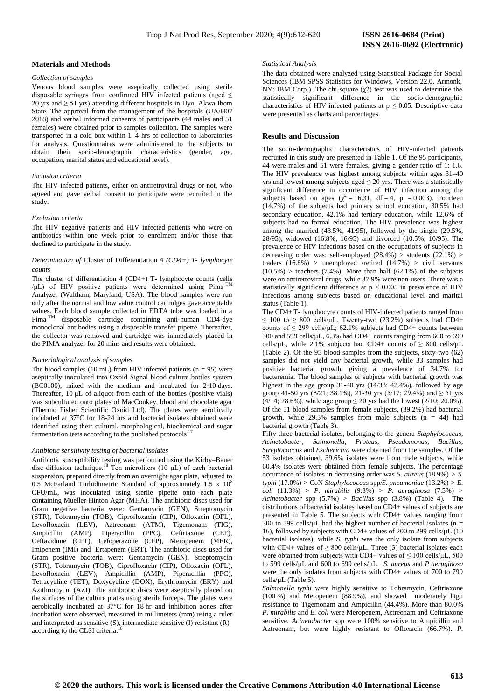#### **Materials and Methods**

#### *Collection of samples*

Venous blood samples were aseptically collected using sterile disposable syringes from confirmed HIV infected patients (aged  $\leq$ 20 yrs and ≥ 51 yrs) attending different hospitals in Uyo, Akwa Ibom State. The approval from the management of the hospitals (UA/H07 2018) and verbal informed consents of participants (44 males and 51 females) were obtained prior to samples collection. The samples were transported in a cold box within 1–4 hrs of collection to laboratories for analysis. Questionnaires were administered to the subjects to obtain their socio-demographic characteristics (gender, age, occupation, marital status and educational level).

#### *Inclusion criteria*

The HIV infected patients, either on antiretroviral drugs or not, who agreed and gave verbal consent to participate were recruited in the study.

#### *Exclusion criteria*

The HIV negative patients and HIV infected patients who were on antibiotics within one week prior to enrolment and/or those that declined to participate in the study.

#### *Determination of* Cluster of Differentiation 4 *(CD4+) T- lymphocyte counts*

The cluster of differentiation 4 (CD4+) T- lymphocyte counts (cells  $/\mu$ L) of HIV positive patients were determined using Pima<sup>TM</sup> Analyzer (Waltham, Maryland, USA). The blood samples were run only after the normal and low value control cartridges gave acceptable values. Each blood sample collected in EDTA tube was loaded in a Pima TM disposable cartridge containing anti-human CD4-dye monoclonal antibodies using a disposable transfer pipette. Thereafter, the collector was removed and cartridge was immediately placed in the PIMA analyzer for 20 mins and results were obtained.

#### *Bacteriological analysis of samples*

The blood samples (10 mL) from HIV infected patients ( $n = 95$ ) were aseptically inoculated into Oxoid Signal blood culture bottles system (BC0100), mixed with the medium and incubated for 2-10 days. Thereafter, 10 μL of aliquot from each of the bottles (positive vials) was subcultured onto plates of MacConkey, blood and chocolate agar (Thermo Fisher Scientific Oxoid Ltd). The plates were aerobically incubated at 37°C for 18-24 hrs and bacterial isolates obtained were identified using their cultural, morphological, biochemical and sugar fermentation tests according to the published protocols<sup>.</sup>

#### *Antibiotic sensitivity testing of bacterial isolates*

Antibiotic susceptibility testing was performed using the Kirby–Bauer disc diffusion technique. <sup>18</sup> Ten microliters (10 μL) of each bacterial suspension, prepared directly from an overnight agar plate, adjusted to 0.5 McFarland Turbidimetric Standard of approximately 1.5 x  $10^8$ CFU/mL, was inoculated using sterile pipette onto each plate containing Mueller-Hinton Agar (MHA). The antibiotic discs used for Gram negative bacteria were: Gentamycin (GEN), Streptomycin (STR), Tobramycin (TOB), Ciprofloxacin (CIP), Ofloxacin (OFL), Levofloxacin (LEV), Aztreonam (ATM), [Tigemonam](https://en.wikipedia.org/wiki/Tigemonam) (TIG), Ampicillin (AMP), Piperacillin (PPC), Ceftriaxone (CEF), Ceftazidime (CFT), Cefoperazone (CFP), Meropenem (MER), Imipenem (IMI) and Ertapenem (ERT). The antibiotic discs used for Gram positive bacteria were: Gentamycin (GEN), Streptomycin (STR), Tobramycin (TOB), Ciprofloxacin (CIP), Ofloxacin (OFL), Levofloxacin (LEV), Ampicillin (AMP), Piperacillin (PPC), Tetracycline (TET), Doxycycline (DOX), Erythromycin (ERY) and Azithromycin (AZI). The antibiotic discs were aseptically placed on the surfaces of the culture plates using sterile forceps. The plates were aerobically incubated at 37°C for 18 hr and inhibition zones after incubation were observed, measured in millimeters (mm) using a ruler and interpreted as sensitive (S), intermediate sensitive (I) resistant (R) according to the CLSI criteria. 18

#### *Statistical Analysis*

The data obtained were analyzed using Statistical Package for Social Sciences (IBM SPSS Statistics for Windows, Version 22.0. Armonk, NY: IBM Corp.). The chi-square  $(\gamma 2)$  test was used to determine the statistically significant difference in the socio-demographic characteristics of HIV infected patients at  $p \le 0.05$ . Descriptive data were presented as charts and percentages.

#### **Results and** D**iscussion**

The socio-demographic characteristics of HIV-infected patients recruited in this study are presented in Table 1. Of the 95 participants, 44 were males and 51 were females, giving a gender ratio of 1: 1.6. The HIV prevalence was highest among subjects within ages 31–40 yrs and lowest among subjects aged  $\leq 20$  yrs. There was a statistically significant difference in occurrence of HIV infection among the subjects based on ages  $(\chi^2 = 16.31, df = 4, p = 0.003)$ . Fourteen (14.7%) of the subjects had primary school education, 30.5% had secondary education, 42.1% had tertiary education, while 12.6% of subjects had no formal education. The HIV prevalence was highest among the married (43.5%, 41/95), followed by the single (29.5%, 28/95), widowed (16.8%, 16/95) and divorced (10.5%, 10/95). The prevalence of HIV infections based on the occupations of subjects in decreasing order was: self-employed (28.4%) > students (22.1%) > traders  $(16.8\%)$  > unemployed /retired  $(14.7\%)$  > civil servants  $(10.5\%)$  > teachers  $(7.4\%)$ . More than half  $(62.1\%)$  of the subjects were on antiretroviral drugs, while 37.9% were non-users. There was a statistically significant difference at  $p < 0.005$  in prevalence of HIV infections among subjects based on educational level and marital status (Table 1).

The CD4+ T- lymphocyte counts of HIV-infected patients ranged from  $\leq$  100 to  $\geq$  800 cells/µL. Twenty-two (23.2%) subjects had CD4+ counts of  $\leq$  299 cells/ $\mu$ L; 62.1% subjects had CD4+ counts between 300 and 599 cells/ $\mu$ L, 6.3% had CD4+ counts ranging from 600 to 699 cells/ $\mu$ L, while 2.1% subjects had CD4+ counts of  $\geq 800$  cells/ $\mu$ L (Table 2). Of the 95 blood samples from the subjects, sixty-two (62) samples did not yield any bacterial growth, while 33 samples had positive bacterial growth, giving a prevalence of 34.7% for bacteremia. The blood samples of subjects with bacterial growth was highest in the age group 31-40 yrs (14/33; 42.4%), followed by age group 41-50 yrs (8/21; 38.1%), 21-30 yrs (5/17; 29.4%) and  $\geq 51$  yrs  $(4/14; 28.6\%)$ , while age group  $\leq 20$  yrs had the lowest (2/10; 20.0%). Of the 51 blood samples from female subjects, (39.2%) had bacterial growth, while  $29.5\%$  samples from male subjects (n = 44) had bacterial growth (Table 3).

Fifty-three bacterial isolates, belonging to the genera *Staphylococcus, Acinetobacter, Salmonella*, *Proteus, Pseudomonas, Bacillus, Streptococcus* and *Escherichia* were obtained from the samples. Of the 53 isolates obtained, 39.6% isolates were from male subjects, while 60.4% isolates were obtained from female subjects. The percentage occurrence of isolates in decreasing order was *S. aureus* (18.9%) *> S. typhi* (17.0%) *>* CoN *Staphylococcus* spp/*S. pneumoniae* (13.2%) *> E. coli* (11.3%) *> P. mirabilis* (9.3%) *> P. aeruginosa* (7.5%) *> Acinetobacter* spp (5.7%) *> Bacillus* spp (3.8%) (Table 4)*.* The distributions of bacterial isolates based on CD4+ values of subjects are presented in Table 5. The subjects with CD4+ values ranging from  $300$  to 399 cells/ $\mu$ L had the highest number of bacterial isolates (n = 16), followed by subjects with CD4+ values of 200 to 299 cells/µL (10 bacterial isolates), while *S. typhi* was the only isolate from subjects with CD4+ values of  $\geq 800$  cells/ $\mu$ L. Three (3) bacterial isolates each were obtained from subjects with CD4+ values of  $\leq 100$  cells/ $\mu$ L, 500 to 599 cells/µL and 600 to 699 cells/µL. *S. aureus* and *P aeruginosa* were the only isolates from subjects with CD4+ values of 700 to 799 cells/µL (Table 5).

*Salmonella typhi* were highly sensitive to Tobramycin, Ceftriaxone (100 %) and Meropenem (88.9%), and showed moderately high resistance to [Tigemonam](https://en.wikipedia.org/wiki/Tigemonam) and Ampicillin (44.4%). More than 80.0% *P. mirabilis* and *E. coli* were Meropenem, Aztreonam and Ceftriaxone sensitive. *Acinetobacter* spp were 100% sensitive to Ampicillin and Aztreonam, but were highly resistant to Ofloxacin (66.7%). *P.*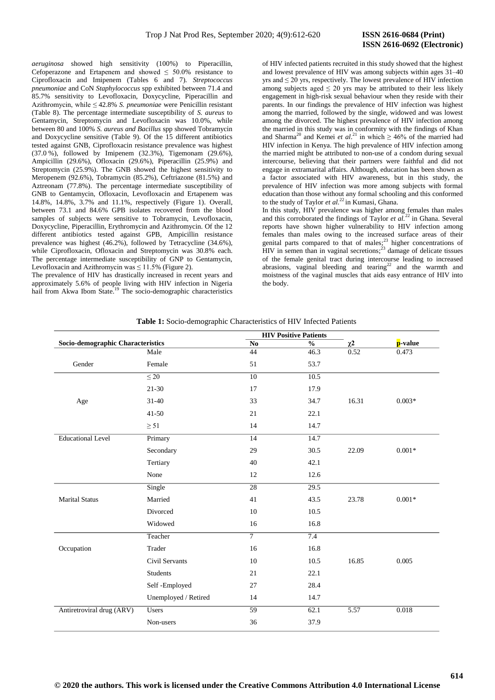## **ISSN 2616-0692 (Electronic)**

*aeruginosa* showed high sensitivity (100%) to Piperacillin, Cefoperazone and Ertapenem and showed  $\leq 50.0\%$  resistance to Ciprofloxacin and Imipenem (Tables 6 and 7). *Streptococcus pneumoniae* and CoN *Staphylococcus* spp exhibited between 71.4 and 85.7% sensitivity to Levofloxacin, Doxycycline, Piperacillin and Azithromycin, while ≤ 42.8% *S. pneumoniae* were Penicillin resistant (Table 8). The percentage intermediate susceptibility of *S. aureus* to Gentamycin, Streptomycin and Levofloxacin was 10.0%, while between 80 and 100% *S. aureus and Bacillus* spp showed Tobramycin and Doxycycline sensitive (Table 9). Of the 15 different antibiotics tested against GNB, Ciprofloxacin resistance prevalence was highest (37.0 %), followed by Imipenem (32.3%), [Tigemonam](https://en.wikipedia.org/wiki/Tigemonam) (29.6%), Ampicillin (29.6%), Ofloxacin (29.6%), Piperacillin (25.9%) and Streptomycin (25.9%). The GNB showed the highest sensitivity to Meropenem (92.6%), Tobramycin (85.2%), Ceftriazone (81.5%) and Aztreonam (77.8%). The percentage intermediate susceptibility of GNB to Gentamycin, Ofloxacin, Levofloxacin and Ertapenem was 14.8%, 14.8%, 3.7% and 11.1%, respectively (Figure 1). Overall, between 73.1 and 84.6% GPB isolates recovered from the blood samples of subjects were sensitive to Tobramycin, Levofloxacin, Doxycycline, Piperacillin, Erythromycin and Azithromycin. Of the 12 different antibiotics tested against GPB, Ampicillin resistance prevalence was highest (46.2%), followed by Tetracycline (34.6%), while Ciprofloxacin, Ofloxacin and Streptomycin was 30.8% each. The percentage intermediate susceptibility of GNP to Gentamycin, Levofloxacin and Azithromycin was  $\leq 11.5\%$  (Figure 2).

The prevalence of HIV has drastically increased in recent years and approximately 5.6% of people living with HIV infection in Nigeria hail from Akwa Ibom State.<sup>19</sup> The socio-demographic characteristics

of HIV infected patients recruited in this study showed that the highest and lowest prevalence of HIV was among subjects within ages 31–40 yrs and  $\leq 20$  yrs, respectively. The lowest prevalence of HIV infection among subjects aged  $\leq 20$  yrs may be attributed to their less likely engagement in high-risk sexual behaviour when they reside with their parents. In our findings the prevalence of HIV infection was highest among the married, followed by the single, widowed and was lowest among the divorced. The highest prevalence of HIV infection among the married in this study was in conformity with the findings of Khan and Sharma<sup>20</sup> and Kemei *et al.*<sup>21</sup> in which  $\geq 46\%$  of the married had HIV infection in Kenya. The high prevalence of HIV infection among the married might be attributed to non*-*use of a condom during sexual intercourse, believing that their partners were faithful and did not engage in extramarital affairs. Although, education has been shown as a factor associated with HIV awareness, but in this study, the prevalence of HIV infection was more among subjects with formal education than those without any formal schooling and this conformed to the study of Taylor  $et al.<sup>22</sup>$  in Kumasi, Ghana.

In this study, HIV prevalence was higher among females than males and this corroborated the findings of Taylor *et al.*<sup>22</sup> in Ghana. Several reports have shown higher vulnerability to HIV infection among females than males owing to the increased surface areas of their genital parts compared to that of males; <sup>23</sup> higher concentrations of HIV in semen than in vaginal secretions; <sup>23</sup> damage of delicate tissues of the female genital tract during intercourse leading to increased abrasions, vaginal bleeding and tearing<sup>22</sup> and the warmth and moistness of the vaginal muscles that aids easy entrance of HIV into the body.

|                                   |                      |                        | <b>HIV Positive Patients</b> |                       |          |
|-----------------------------------|----------------------|------------------------|------------------------------|-----------------------|----------|
| Socio-demographic Characteristics |                      | $\mathbf{N}\mathbf{o}$ | $\frac{0}{0}$                | $\frac{\chi^2}{0.52}$ | p-value  |
|                                   | Male                 | 44                     | 46.3                         |                       | 0.473    |
| Gender                            | Female               | 51                     | 53.7                         |                       |          |
|                                   | $\leq 20$            | 10                     | 10.5                         |                       |          |
|                                   | $21 - 30$            | 17                     | 17.9                         |                       |          |
| Age                               | $31 - 40$            | 33                     | 34.7                         | 16.31                 | $0.003*$ |
|                                   | $41 - 50$            | 21                     | 22.1                         |                       |          |
|                                   | $\geq$ 51            | 14                     | 14.7                         |                       |          |
| <b>Educational Level</b>          | Primary              | 14                     | 14.7                         |                       |          |
|                                   | Secondary            | 29                     | 30.5                         | 22.09                 | $0.001*$ |
|                                   | Tertiary             | 40                     | 42.1                         |                       |          |
|                                   | None                 | 12                     | 12.6                         |                       |          |
|                                   | Single               | 28                     | 29.5                         |                       |          |
| <b>Marital Status</b>             | Married              | 41                     | 43.5                         | 23.78                 | $0.001*$ |
|                                   | Divorced             | 10                     | 10.5                         |                       |          |
|                                   | Widowed              | 16                     | 16.8                         |                       |          |
|                                   | Teacher              | $\overline{7}$         | 7.4                          |                       |          |
| Occupation                        | Trader               | 16                     | 16.8                         |                       |          |
|                                   | Civil Servants       | 10                     | 10.5                         | 16.85                 | 0.005    |
|                                   | <b>Students</b>      | 21                     | 22.1                         |                       |          |
|                                   | Self-Employed        | 27                     | 28.4                         |                       |          |
|                                   | Unemployed / Retired | 14                     | 14.7                         |                       |          |
| Antiretroviral drug (ARV)         | <b>Users</b>         | 59                     | 62.1                         | 5.57                  | 0.018    |
|                                   | Non-users            | 36                     | 37.9                         |                       |          |

**Table 1:** Socio-demographic Characteristics of HIV Infected Patients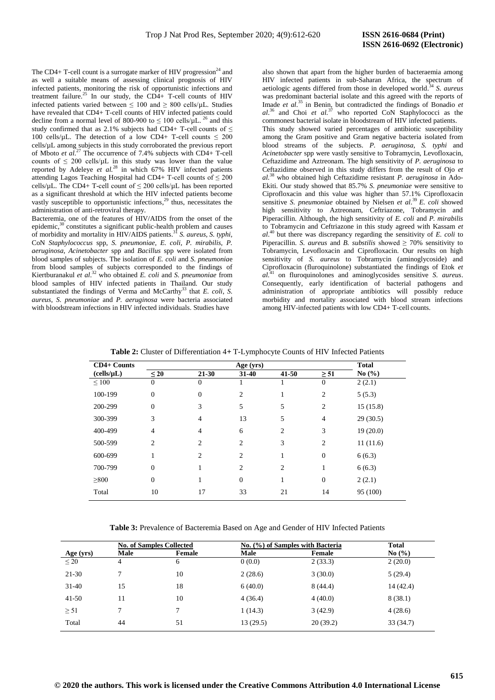The CD4+ T-cell count is a surrogate marker of HIV progression<sup>24</sup> and as well a suitable means of assessing clinical prognosis of HIV infected patients, monitoring the risk of opportunistic infections and treatment failure. <sup>25</sup> In our study, the CD4+ T-cell counts of HIV infected patients varied between  $\leq 100$  and  $\geq 800$  cells/ $\mu$ L. Studies have revealed that CD4+ T-cell counts of HIV infected patients could decline from a normal level of 800-900 to  $\leq 100$  cells/ $\mu$ L. <sup>26</sup> and this study confirmed that as 2.1% subjects had CD4+ T-cell counts of  $\leq$ 100 cells/ $\mu$ L. The detection of a low CD4+ T-cell counts  $\leq 200$ cells/µL among subjects in this study corroborated the previous report of Mboto *et al*. <sup>27</sup> The occurrence of 7.4% subjects with CD4+ T-cell counts of  $\leq 200$  cells/ $\mu$ L in this study was lower than the value reported by Adeleye *et al.*<sup>28</sup> in which 67% HIV infected patients attending Lagos Teaching Hospital had CD4+ T-cell counts of  $\leq 200$ cells/ $\mu$ L. The CD4+ T-cell count of  $\leq 200$  cells/ $\mu$ L has been reported as a significant threshold at which the HIV infected patients become vastly susceptible to opportunistic infections,<sup>29</sup> thus, necessitates the administration of anti-retroviral therapy.

Bacteremia, one of the features of HIV/AIDS from the onset of the epidemic,<sup>30</sup> constitutes a significant public-health problem and causes of morbidity and mortality in HIV/AIDS patients. <sup>31</sup> *S. aureus, S. typhi,*  CoN *Staphylococcus* spp, *S. pneumoniae, E. coli, P. mirabilis, P. aeruginosa, Acinetobacter* spp and *Bacillus* spp were isolated from blood samples of subjects. The isolation of *E. coli* and *S. pneumonia*e from blood samples of subjects corresponded to the findings of Kiertburanakul *et al*. <sup>32</sup> who obtained *E. coli* and *S. pneumoniae* from blood samples of HIV infected patients in Thailand. Our study substantiated the findings of Verma and McCarthy<sup>33</sup> that *E. coli*, *S. aureus*, *S. pneumoniae* and *P. aeruginosa* were bacteria associated with bloodstream infections in HIV infected individuals. Studies have

also shown that apart from the higher burden of bacteraemia among HIV infected patients in sub-Saharan Africa, the spectrum of aetiologic agents differed from those in developed world. <sup>34</sup> *S. aureus*  was predominant bacterial isolate and this agreed with the reports of Imade *et al.*<sup>35</sup> in Benin, but contradicted the findings of Bonadio *et al*. <sup>36</sup> and Choi *et al.*<sup>37</sup> who reported CoN Staphylococci as the commonest bacterial isolate in bloodstream of HIV infected patients. This study showed varied percentages of antibiotic susceptibility among the Gram positive and Gram negative bacteria isolated from blood streams of the subjects. *P. aeruginosa, S. typhi* and *Acinetobacter* spp were vastly sensitive to Tobramycin, Levofloxacin, Ceftazidime and Aztreonam. The high sensitivity of *P. aeruginosa* to Ceftazidime observed in this study differs from the result of Ojo *et al.* <sup>38</sup> who obtained high Ceftazidime resistant *P. aeruginosa* in Ado-Ekiti. Our study showed that 85.7% *S. pneumoniae* were sensitive to Ciprofloxacin and this value was higher than 57.1% Ciprofloxacin sensitive *S. pneumoniae* obtained by Nielsen *et al*. <sup>39</sup>*E. coli* showed high sensitivity to Aztreonam, Ceftriazone, Tobramycin and Piperacillin. Although, the high sensitivity of *E. coli* and *P. mirabilis*  to Tobramycin and Ceftriazone in this study agreed with Kassam *et al*. <sup>40</sup> but there was discrepancy regarding the sensitivity of *E. coli* to Piperacillin. *S. aureus* and *B. substilis* showed  $\geq 70\%$  sensitivity to Tobramycin, Levofloxacin and Ciprofloxacin. Our results on high sensitivity of *S. aureus* to Tobramycin (aminoglycoside) and Ciprofloxacin (fluroquinolone) substantiated the findings of Etok *et al.*<sup>41</sup> on fluroquinolones and aminoglycosides sensitive *S. aureus*. Consequently, early identification of bacterial pathogens and administration of appropriate antibiotics will possibly reduce morbidity and mortality associated with blood stream infections among HIV-infected patients with low CD4+ T-cell counts.

| CD4+ Counts |                |                | Age (yrs)      |                |                | <b>Total</b> |
|-------------|----------------|----------------|----------------|----------------|----------------|--------------|
| (cells/µL)  | $\leq 20$      | $21 - 30$      | $31 - 40$      | $41 - 50$      | $\geq 51$      | No $(\% )$   |
| $\leq 100$  | $\theta$       | $\theta$       |                |                | $\theta$       | 2(2.1)       |
| 100-199     | $\mathbf{0}$   | $\theta$       | 2              |                | $\overline{2}$ | 5(5.3)       |
| 200-299     | $\theta$       | 3              | 5              | 5              | 2              | 15(15.8)     |
| 300-399     | 3              | 4              | 13             | 5              | $\overline{4}$ | 29(30.5)     |
| 400-499     | $\overline{4}$ | $\overline{4}$ | 6              | 2              | 3              | 19(20.0)     |
| 500-599     | 2              | 2              | 2              | 3              | $\overline{2}$ | 11(11.6)     |
| 600-699     |                | 2              | $\overline{c}$ |                | $\overline{0}$ | 6(6.3)       |
| 700-799     | $\overline{0}$ |                | 2              | $\overline{2}$ | 1              | 6(6.3)       |
| $\geq 800$  | $\mathbf{0}$   |                | $\mathbf{0}$   |                | $\mathbf{0}$   | 2(2.1)       |
| Total       | 10             | 17             | 33             | 21             | 14             | 95 (100)     |

**Table 2:** Cluster of Differentiation 4*+* T-Lymphocyte Counts of HIV Infected Patients

**Table 3:** Prevalence of Bacteremia Based on Age and Gender of HIV Infected Patients

|           |      | <b>No. of Samples Collected</b> |          | No. (%) of Samples with Bacteria | <b>Total</b> |
|-----------|------|---------------------------------|----------|----------------------------------|--------------|
| Age (yrs) | Male | Female                          | Male     | Female                           | No $(\% )$   |
| $\leq 20$ | 4    | 6                               | 0(0.0)   | 2(33.3)                          | 2(20.0)      |
| $21 - 30$ |      | 10                              | 2(28.6)  | 3(30.0)                          | 5(29.4)      |
| $31 - 40$ | 15   | 18                              | 6(40.0)  | 8(44.4)                          | 14 (42.4)    |
| $41 - 50$ | 11   | 10                              | 4(36.4)  | 4(40.0)                          | 8(38.1)      |
| $\geq 51$ | 7    |                                 | 1(14.3)  | 3(42.9)                          | 4(28.6)      |
| Total     | 44   | 51                              | 13(29.5) | 20(39.2)                         | 33(34.7)     |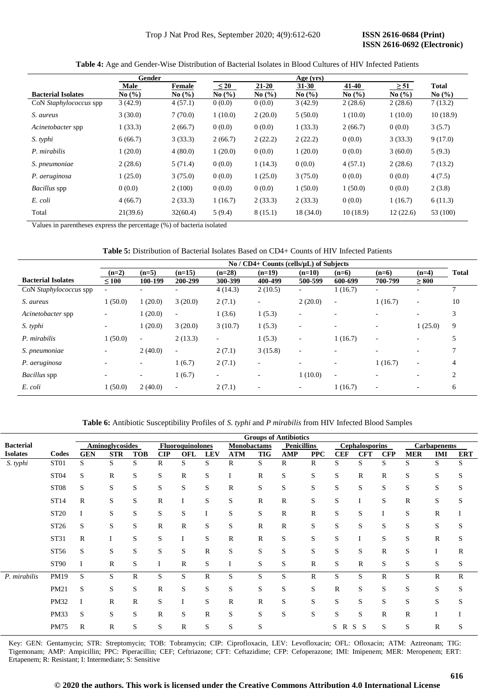|                           | Gender   |            |            |            | Age (yrs)  |            |                               |                               |
|---------------------------|----------|------------|------------|------------|------------|------------|-------------------------------|-------------------------------|
|                           | Male     | Female     | $\leq 20$  | $21 - 20$  | $31 - 30$  | 41-40      | $\geq 51$                     | <b>Total</b>                  |
| <b>Bacterial Isolates</b> | No(%)    | No $(\% )$ | No $(\% )$ | No $(\% )$ | No $(\% )$ | No $(\% )$ | No $\left(\frac{9}{6}\right)$ | No $\left(\frac{9}{6}\right)$ |
| CoN Staphylococcus spp    | 3(42.9)  | 4(57.1)    | 0(0.0)     | 0(0.0)     | 3(42.9)    | 2(28.6)    | 2(28.6)                       | 7(13.2)                       |
| S. aureus                 | 3(30.0)  | 7(70.0)    | 1(10.0)    | 2(20.0)    | 5(50.0)    | 1(10.0)    | 1(10.0)                       | 10(18.9)                      |
| Acinetobacter spp         | 1(33.3)  | 2(66.7)    | 0(0.0)     | 0(0.0)     | 1(33.3)    | 2(66.7)    | 0(0.0)                        | 3(5.7)                        |
| S. typhi                  | 6(66.7)  | 3(33.3)    | 2(66.7)    | 2(22.2)    | 2(22.2)    | 0(0.0)     | 3(33.3)                       | 9(17.0)                       |
| P. mirabilis              | 1(20.0)  | 4(80.0)    | 1(20.0)    | 0(0.0)     | 1(20.0)    | 0(0.0)     | 3(60.0)                       | 5(9.3)                        |
| S. pneumoniae             | 2(28.6)  | 5(71.4)    | 0(0.0)     | 1(14.3)    | 0(0.0)     | 4(57.1)    | 2(28.6)                       | 7(13.2)                       |
| P. aeruginosa             | 1(25.0)  | 3(75.0)    | 0(0.0)     | 1(25.0)    | 3(75.0)    | 0(0.0)     | 0(0.0)                        | 4(7.5)                        |
| <i>Bacillus</i> spp       | 0(0.0)   | 2(100)     | 0(0.0)     | 0(0.0)     | 1(50.0)    | 1(50.0)    | 0(0.0)                        | 2(3.8)                        |
| E. coli                   | 4(66.7)  | 2(33.3)    | 1(16.7)    | 2(33.3)    | 2(33.3)    | 0(0.0)     | 1(16.7)                       | 6(11.3)                       |
| Total                     | 21(39.6) | 32(60.4)   | 5(9.4)     | 8(15.1)    | 18 (34.0)  | 10(18.9)   | 12(22.6)                      | 53 (100)                      |

**Table 4:** Age and Gender-Wise Distribution of Bacterial Isolates in Blood Cultures of HIV Infected Patients

Values in parentheses express the percentage (%) of bacteria isolated

### **Table 5:** Distribution of Bacterial Isolates Based on CD4+ Counts of HIV Infected Patients

|                           |                          |                          |                          |                          | $\text{No } / \text{CD4+}$ Counts (cells/ $\mu$ L) of Subjects |                          |                          |                          |                          |              |
|---------------------------|--------------------------|--------------------------|--------------------------|--------------------------|----------------------------------------------------------------|--------------------------|--------------------------|--------------------------|--------------------------|--------------|
|                           | $(n=2)$                  | $(n=5)$                  | $(n=15)$                 | $(n=28)$                 | $(n=19)$                                                       | $(n=10)$                 | $(n=6)$                  | $(n=6)$                  | $(n=4)$                  | <b>Total</b> |
| <b>Bacterial Isolates</b> | ~100                     | 100-199                  | 200-299                  | 300-399                  | 400-499                                                        | 500-599                  | 600-699                  | 700-799                  | $\geq 800$               |              |
| CoN Staphylococcus spp    | $\sim$                   |                          |                          | 4(14.3)                  | 2(10.5)                                                        | $\sim$                   | 1(16.7)                  | $\overline{\phantom{a}}$ |                          | $\mathbf{r}$ |
| S. aureus                 | (50.0)                   | 1(20.0)                  | 3(20.0)                  | 2(7.1)                   | ٠                                                              | 2(20.0)                  | $\overline{\phantom{a}}$ | 1(16.7)                  | $\sim$                   | 10           |
| Acinetobacter spp         | $\overline{\phantom{0}}$ | 1(20.0)                  | $\overline{\phantom{a}}$ | 1(3.6)                   | 1(5.3)                                                         | $\overline{\phantom{a}}$ |                          | $\overline{\phantom{0}}$ | $\overline{\phantom{0}}$ | 3            |
| S. typhi                  | $\overline{\phantom{0}}$ | 1(20.0)                  | 3(20.0)                  | 3(10.7)                  | 1(5.3)                                                         | $\overline{\phantom{a}}$ |                          | $\overline{\phantom{a}}$ | 1(25.0)                  | 9            |
| P. mirabilis              | 1(50.0)                  | ۰.                       | 2(13.3)                  | ۰.                       | 1(5.3)                                                         | $\overline{\phantom{a}}$ | 1(16.7)                  | $\overline{\phantom{a}}$ | $\overline{\phantom{a}}$ | 5            |
| S. pneumoniae             | $\overline{\phantom{a}}$ | 2(40.0)                  | $\overline{\phantom{a}}$ | 2(7.1)                   | 3(15.8)                                                        | $\overline{\phantom{a}}$ | $\overline{\phantom{0}}$ | $\overline{\phantom{0}}$ | $\sim$                   |              |
| P. aeruginosa             | $\overline{\phantom{a}}$ | ۰.                       | 1(6.7)                   | 2(7.1)                   | $\overline{\phantom{a}}$                                       | $\overline{\phantom{a}}$ | ۰                        | 1(16.7)                  | $\overline{\phantom{0}}$ | 4            |
| Bacillus spp              | $\overline{\phantom{0}}$ | $\overline{\phantom{0}}$ | 1(6.7)                   | $\overline{\phantom{a}}$ | ٠                                                              | 1(10.0)                  | $\overline{\phantom{a}}$ | $\overline{\phantom{0}}$ | $\sim$                   | 2            |
| E. coli                   | (50.0)                   | 2(40.0)                  | $\overline{\phantom{a}}$ | 2(7.1)                   | ۰                                                              | $\overline{\phantom{a}}$ | 1(16.7)                  | $\overline{\phantom{a}}$ | ٠                        | 6            |

**Table 6:** Antibiotic Susceptibility Profiles of *S. typhi* and *P mirabilis* from HIV Infected Blood Samples

|                  |                  | <b>Groups of Antibiotics</b> |                 |              |                |                         |            |              |              |                    |              |            |                       |              |              |                    |            |
|------------------|------------------|------------------------------|-----------------|--------------|----------------|-------------------------|------------|--------------|--------------|--------------------|--------------|------------|-----------------------|--------------|--------------|--------------------|------------|
| <b>Bacterial</b> |                  |                              | Aminoglycosides |              |                | <b>Fluoroquinolones</b> |            | Monobactams  |              | <b>Penicillins</b> |              |            | <b>Cephalosporins</b> |              |              | <b>Carbapenems</b> |            |
| <b>Isolates</b>  | Codes            | <b>GEN</b>                   | <b>STR</b>      | <b>TOB</b>   | $\mathbf{CIP}$ | <b>OFL</b>              | <b>LEV</b> | <b>ATM</b>   | <b>TIG</b>   | AMP                | <b>PPC</b>   | <b>CEF</b> | <b>CFT</b>            | <b>CFP</b>   | <b>MER</b>   | <b>IMI</b>         | <b>ERT</b> |
| S. typhi         | ST <sub>01</sub> | S                            | S.              | S            | $\mathbb{R}$   | S                       | S          | R            | S            | R                  | R            | S          | S                     | S            | S            | S                  | S          |
|                  | ST <sub>04</sub> | S                            | R               | S            | S              | $\mathbb{R}$            | S          | Ι            | $\mathbb{R}$ | S                  | S            | S          | $\mathbb{R}$          | R            | S            | S                  | S          |
|                  | ST <sub>08</sub> | S                            | S               | S            | S              | S                       | S          | $\mathbb{R}$ | S            | S                  | S            | S          | S                     | S            | S            | S                  | S          |
|                  | ST14             | $\mathbb{R}$                 | S               | S            | R              | I                       | S          | S            | $\mathbb{R}$ | $\mathbb{R}$       | S            | S          | I                     | S            | $\mathbb{R}$ | S                  | S          |
|                  | ST20             | I                            | S               | S            | S              | S                       | I          | S            | S            | $\mathbb{R}$       | $\mathbb R$  | S          | S                     | 1            | S            | $\mathbb{R}$       |            |
|                  | ST26             | S                            | S               | S            | $\mathbb{R}$   | $\mathbb{R}$            | S          | S            | $\mathbb{R}$ | $\mathbb{R}$       | S            | S          | S                     | S            | S            | S                  | S          |
|                  | ST31             | $\mathbb{R}$                 |                 | S            | S              | I                       | S          | $\mathbb{R}$ | $\mathbb{R}$ | S                  | S            | S          | I                     | S            | S            | $\mathbb{R}$       | S          |
|                  | ST56             | S                            | S               | S            | S              | ${\bf S}$               | R          | S            | S            | $\mathbf S$        | S            | S          | S                     | $\mathbb R$  | S            | I                  | R          |
|                  | <b>ST90</b>      | I                            | R               | S            | I              | $\mathbb{R}$            | S          | I            | S            | S                  | R            | S          | $\mathbb{R}$          | S            | S            | S                  | S          |
| P. mirabilis     | PM19             | S                            | S               | R            | S              | S                       | R          | S            | S            | S                  | $\mathbb{R}$ | S          | S                     | $\mathbb{R}$ | S            | R                  | R          |
|                  | PM21             | S                            | S               | S            | $\mathbb{R}$   | S                       | S          | S            | S            | S                  | S            | R          | S                     | S            | S            | S                  | S          |
|                  | <b>PM32</b>      | I                            | R               | $\mathbb{R}$ | S              | I                       | S          | $\mathbb{R}$ | $\mathbb{R}$ | S                  | S            | S          | S                     | S            | S            | S                  | S          |
|                  | PM33             | S                            | S               | S            | $\mathbb{R}$   | S                       | R          | S            | S            | S                  | S            | S          | S                     | $\mathbb{R}$ | $\mathbb{R}$ |                    |            |
|                  | <b>PM75</b>      | $\mathbb{R}$                 | R               | S            | S              | $\mathbb{R}$            | S          | S            | S            |                    |              | S<br>R     | S<br>S                | S            | S            | R                  | S          |

Key: GEN: Gentamycin; STR: Streptomycin; TOB: Tobramycin; CIP: Ciprofloxacin, LEV: Levofloxacin; OFL: Ofloxacin; ATM: Aztreonam; TIG: Tigemonam; AMP: Ampicillin; PPC: Piperacillin; CEF; Ceftriazone; CFT: Ceftazidime; CFP: Cefoperazone; IMI: Imipenem; MER: Meropenem; ERT: Ertapenem; R: Resistant; I: Intermediate; S: Sensitive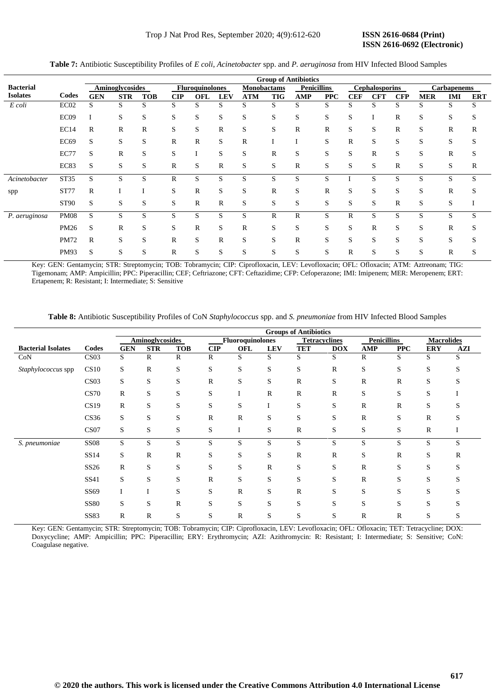# **ISSN 2616-0692 (Electronic)**

|                  |                  | <b>Group of Antibiotics</b> |                 |            |                |                        |              |                    |              |                    |            |            |                       |              |             |                    |            |
|------------------|------------------|-----------------------------|-----------------|------------|----------------|------------------------|--------------|--------------------|--------------|--------------------|------------|------------|-----------------------|--------------|-------------|--------------------|------------|
| <b>Bacterial</b> |                  |                             | Aminoglycosides |            |                | <b>Fluroquinolones</b> |              | <b>Monobactams</b> |              | <b>Penicillins</b> |            |            | <b>Cephalosporins</b> |              |             | <b>Carbapenems</b> |            |
| <b>Isolates</b>  | Codes            | <b>GEN</b>                  | <b>STR</b>      | <b>TOB</b> | $\mathbf{CIP}$ | OFL                    | <b>LEV</b>   | <b>ATM</b>         | <b>TIG</b>   | <b>AMP</b>         | <b>PPC</b> | <b>CEF</b> | <b>CFT</b>            | <b>CFP</b>   | <b>MER</b>  | <b>IMI</b>         | <b>ERT</b> |
| E coli           | EC <sub>02</sub> | S                           | S               | S          | S              | S                      | S            | S                  | S            | S                  | S          | S          | S                     | S            | S           | S                  | S          |
|                  | EC <sub>09</sub> |                             | S               | S          | S              | S                      | S            | S                  | S            | S                  | S          | S          |                       | $\mathbb{R}$ | S           | S                  | S          |
|                  | EC14             | R                           | R               | R          | S              | S                      | R            | S                  | S            | R                  | R          | S          | S                     | R            | S           | R                  | R          |
|                  | <b>EC69</b>      | S                           | S               | S          | R              | $\mathbb{R}$           | S            | $\mathbb{R}$       |              |                    | S          | R          | S                     | S            | S           | S                  | S          |
|                  | <b>EC77</b>      | S                           | $\mathbb{R}$    | S          | S              |                        | S            | S                  | R            | S                  | S          | S          | R                     | S            | S           | $\mathbb R$        | S          |
|                  | EC83             | S                           | S               | S          | $\mathbb{R}$   | S                      | R            | S                  | S            | $\mathbb{R}$       | S          | S          | S                     | R            | S           | S                  | R          |
| Acinetobacter    | ST35             | S                           | S               | S          | R              | S                      | S            | S                  | S            | S                  | S          |            | S                     | S            | S           | S                  | S          |
| spp              | <b>ST77</b>      | R                           |                 |            | S              | $\mathbb{R}$           | S            | S                  | R            | S                  | R          | S          | S                     | S            | S           | $\mathbb R$        | S          |
|                  | <b>ST90</b>      | S                           | S               | S          | S              | $\mathbb{R}$           | R            | S                  | S            | S                  | S          | S          | S                     | R            | S           | S                  |            |
| P. aeruginosa    | <b>PM08</b>      | S                           | S               | S          | S              | S                      | S            | S                  | $\mathbb{R}$ | $\mathbb{R}$       | S          | R          | S                     | S            | S           | S                  | S          |
|                  | PM26             | S                           | $\mathbb R$     | S          | S              | $\mathbb{R}$           | S            | $\mathbb{R}$       | S            | S                  | S          | S          | R                     | S            | S           | R                  | S          |
|                  | <b>PM72</b>      | $\mathbb{R}$                | S               | S          | R              | S                      | $\mathbb{R}$ | S                  | S            | $\mathbb{R}$       | S          | S          | S                     | S            | S           | S                  | S          |
|                  | PM93             | S                           | S               | S          | R              | S                      | S            | S                  | S            | S                  | S          | R          | S                     | S            | $\sim$<br>S | R                  | S          |

**Table 7:** Antibiotic Susceptibility Profiles of *E coli*, *Acinetobacter* spp. and *P. aeruginosa* from HIV Infected Blood Samples

Key: GEN: Gentamycin; STR: Streptomycin; TOB: Tobramycin; CIP: Ciprofloxacin, LEV: Levofloxacin; OFL: Ofloxacin; ATM: Aztreonam; TIG: [Tigemonam;](https://en.wikipedia.org/wiki/Tigemonam) AMP: Ampicillin; PPC: Piperacillin; CEF; Ceftriazone; CFT: Ceftazidime; CFP: Cefoperazone; IMI: Imipenem; MER: Meropenem; ERT: Ertapenem; R: Resistant; I: Intermediate; S: Sensitive

**Table 8:** Antibiotic Susceptibility Profiles of CoN *Staphylococcus* spp. and *S. pneumoniae* from HIV Infected Blood Samples

|                           |                  |              | <b>Groups of Antibiotics</b> |              |                |                         |              |            |                      |                    |              |                   |     |
|---------------------------|------------------|--------------|------------------------------|--------------|----------------|-------------------------|--------------|------------|----------------------|--------------------|--------------|-------------------|-----|
|                           |                  |              | <b>Aminoglycosides</b>       |              |                | <b>Fluoroquinolones</b> |              |            | <b>Tetracyclines</b> | <b>Penicillins</b> |              | <b>Macrolides</b> |     |
| <b>Bacterial Isolates</b> | Codes            | <b>GEN</b>   | <b>STR</b>                   | <b>TOB</b>   | $\mathbf{CIP}$ | <b>OFL</b>              | <b>LEV</b>   | <b>TET</b> | <b>DOX</b>           | AMP                | <b>PPC</b>   | <b>ERY</b>        | AZI |
| CoN                       | CS <sub>03</sub> | S            | R                            | R            | $\mathbb{R}$   | S                       | S            | S          | S                    | R                  | S            | S                 | S   |
| Staphylococcus spp        | CS10             | S            | $\mathbb R$                  | S            | S              | S                       | S            | S          | $\mathbb{R}$         | S                  | S            | S                 | S   |
|                           | CS <sub>03</sub> | S            | S                            | S            | $\mathbf R$    | S                       | S            | R          | S                    | R                  | $\mathbb{R}$ | S                 | S   |
|                           | <b>CS70</b>      | R            | S                            | S            | S              |                         | $\mathbb{R}$ | R          | $\mathbb{R}$         | S                  | S            | S                 |     |
|                           | CS19             | R            | S                            | S            | S              | S                       | I            | S          | S                    | R                  | $\mathbb{R}$ | S                 |     |
|                           | CS <sub>36</sub> | S            | S                            | S            | $\mathbb{R}$   | $\mathbf R$             | S            | S          | S                    | R                  | S            | R                 | r.  |
|                           | CS <sub>07</sub> | S            | S                            | S            | S              | I                       | S            | R          | S                    | S                  | S            | $\mathbb{R}$      |     |
| S. pneumoniae             | <b>SS08</b>      | S            | S                            | S            | S              | S                       | S            | S          | S                    | S                  | S            | S                 | S   |
|                           | SS14             | S            | $\mathbb R$                  | R            | S              | S                       | S            | R          | $\mathbb{R}$         | S                  | $\mathbb{R}$ | S                 | R   |
|                           | SS <sub>26</sub> | $\mathbb{R}$ | S                            | S            | S              | S                       | R            | S          | S                    | R                  | S            | S                 | S   |
|                           | SS41             | S            | S                            | S            | $\mathbf R$    | S                       | S            | S          | S                    | R                  | S            | S                 |     |
|                           | SS69             |              | I                            | S            | S              | $\mathbb{R}$            | S            | R          | S                    | S                  | S            | S                 | S   |
|                           | <b>SS80</b>      | S            | S                            | $\mathbb{R}$ | S              | S                       | S            | S          | S                    | S                  | S            | S                 | S   |
|                           | <b>SS83</b>      | R            | R                            | S            | S              | $\mathbb{R}$            | S            | S          | S                    | R                  | R            | S                 | S   |

Key: GEN: Gentamycin; STR: Streptomycin; TOB: Tobramycin; CIP: Ciprofloxacin, LEV: Levofloxacin; OFL: Ofloxacin; TET: Tetracycline; DOX: Doxycycline; AMP: Ampicillin; PPC: Piperacillin; ERY: Erythromycin; AZI: Azithromycin: R: Resistant; I: Intermediate; S: Sensitive; CoN: Coagulase negative.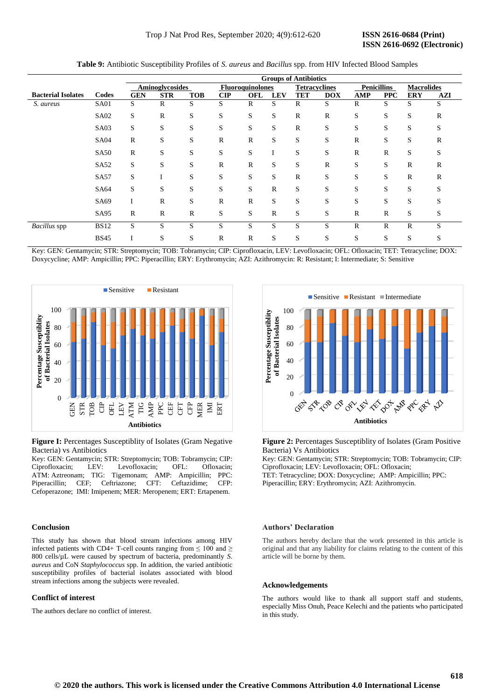|                           |                  |              |                 |            |                |                         |             | <b>Groups of Antibiotics</b> |                      |              |                    |                   |              |
|---------------------------|------------------|--------------|-----------------|------------|----------------|-------------------------|-------------|------------------------------|----------------------|--------------|--------------------|-------------------|--------------|
|                           |                  |              | Aminoglycosides |            |                | <b>Fluoroquinolones</b> |             |                              | <b>Tetracyclines</b> |              | <b>Penicillins</b> | <b>Macrolides</b> |              |
| <b>Bacterial Isolates</b> | Codes            | <b>GEN</b>   | <b>STR</b>      | <b>TOB</b> | $\mathbf{CIP}$ | OFL                     | <b>LEV</b>  | <b>TET</b>                   | <b>DOX</b>           | <b>AMP</b>   | <b>PPC</b>         | <b>ERY</b>        | AZI          |
| S. aureus                 | <b>SA01</b>      | S            | R               | S          | S              | $\mathbb{R}$            | S           | $\mathbb{R}$                 | S                    | R            | S                  | S                 | S            |
|                           | SA <sub>02</sub> | S            | R               | S          | S              | S                       | S           | $\mathbb{R}$                 | R                    | S            | S                  | S                 | $\mathbb{R}$ |
|                           | SA03             | S            | S               | S          | S              | S                       | S           | $\mathbb{R}$                 | S                    | S            | S                  | S                 | S            |
|                           | <b>SA04</b>      | R            | S               | S          | R              | $\mathbb R$             | S           | S                            | S                    | R            | S                  | S                 | R            |
|                           | <b>SA50</b>      | $\mathbb{R}$ | S               | S          | S              | S                       | I           | S                            | S                    | $\mathbb{R}$ | $\mathbb{R}$       | S                 | S            |
|                           | SA <sub>52</sub> | S            | S               | S          | $\mathbb{R}$   | $\mathbb{R}$            | S           | S                            | $\mathbb{R}$         | S            | S                  | $\mathbb{R}$      | R            |
|                           | <b>SA57</b>      | S            |                 | S          | S              | S                       | S           | $\mathbb{R}$                 | S                    | S            | S                  | $\mathbb R$       | $\mathbb{R}$ |
|                           | SA64             | S            | S               | S          | S              | S                       | $\mathbb R$ | S                            | S                    | S            | S                  | S                 | S            |
|                           | SA69             |              | $\mathbb{R}$    | S          | $\mathbb{R}$   | $\mathbb{R}$            | S           | S                            | S                    | S            | S                  | S                 | S            |
|                           | SA95             | $\mathbb{R}$ | R               | R          | S              | S                       | $\mathbb R$ | S                            | S                    | R            | $\mathbb{R}$       | S                 | S            |
| Bacillus spp              | <b>BS12</b>      | S            | S               | S          | S              | S                       | S           | S                            | S                    | R            | $\mathbb{R}$       | $\mathbb{R}$      | S            |
|                           | <b>BS45</b>      |              | S               | S          | R              | $\mathbb{R}$            | S           | S                            | S                    | S            | S                  | S                 | S            |

**Table 9:** Antibiotic Susceptibility Profiles of *S. aureus* and *Bacillus* spp. from HIV Infected Blood Samples

Key: GEN: Gentamycin; STR: Streptomycin; TOB: Tobramycin; CIP: Ciprofloxacin, LEV: Levofloxacin; OFL: Ofloxacin; TET: Tetracycline; DOX: Doxycycline; AMP: Ampicillin; PPC: Piperacillin; ERY: Erythromycin; AZI: Azithromycin: R: Resistant; I: Intermediate; S: Sensitive



**Figure I:** Percentages Susceptiblity of Isolates (Gram Negative Bacteria) vs Antibiotics

Key: GEN: Gentamycin; STR: Streptomycin; TOB: Tobramycin; CIP: Ciprofloxacin; LEV: Levofloxacin; OFL: Ofloxacin; ATM: Aztreonam; TIG: [Tigemonam;](https://en.wikipedia.org/wiki/Tigemonam) AMP: Ampicillin; PPC: Piperacillin; CEF; Ceftriazone; CFT: Ceftazidime; CFP: Cefoperazone; IMI: Imipenem; MER: Meropenem; ERT: Ertapenem.

#### **Conclusion**

This study has shown that blood stream infections among HIV infected patients with CD4+ T-cell counts ranging from  $\leq 100$  and  $\geq$ 800 cells/µL were caused by spectrum of bacteria, predominantly *S. aureus* and CoN *Staphylococcus* spp. In addition, the varied antibiotic susceptibility profiles of bacterial isolates associated with blood stream infections among the subjects were revealed.

#### **Conflict of interest**

The authors declare no conflict of interest.



**Figure 2:** Percentages Susceptiblity of Isolates (Gram Positive Bacteria) Vs Antibiotics

Key: GEN: Gentamycin; STR: Streptomycin; TOB: Tobramycin; CIP: Ciprofloxacin; LEV: Levofloxacin; OFL: Ofloxacin; TET: Tetracycline; DOX: Doxycycline; AMP: Ampicillin; PPC: Piperacillin; ERY: Erythromycin; AZI: Azithromycin.

#### **Authors' Declaration**

The authors hereby declare that the work presented in this article is original and that any liability for claims relating to the content of this article will be borne by them.

#### **Acknowledgements**

The authors would like to thank all support staff and students, especially Miss Onuh, Peace Kelechi and the patients who participated in this study.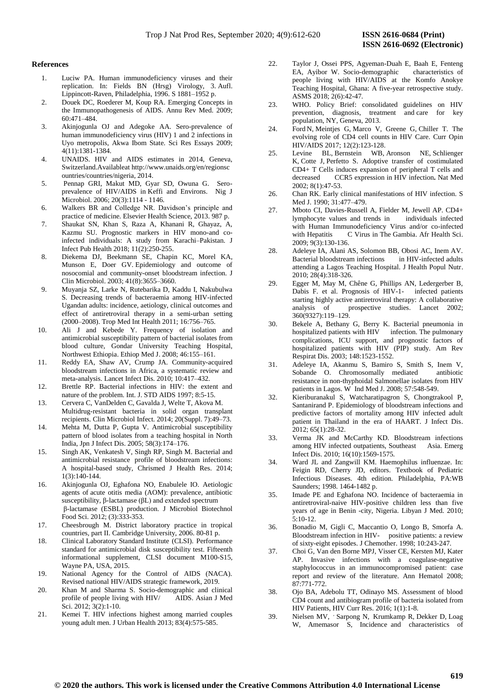#### **References**

- 1. Luciw PA. Human immunodeficiency viruses and their replication. In: Fields BN (Hrsg) Virology, 3. Aufl. Lippincott-Raven, Philadelphia, 1996. S 1881–1952 p.
- 2. Douek DC, Roederer M, Koup RA. [Emerging Concepts in](https://www.ncbi.nlm.nih.gov/pmc/articles/PMC2716400)  [the Immunopathogenesis of AIDS. A](https://www.ncbi.nlm.nih.gov/pmc/articles/PMC2716400)nnu Rev Med. 2009; 60:471–484.
- 3. Akinjogunla OJ and Adegoke AA. Sero-prevalence of human immunodeficiency virus (HIV) 1 and 2 infections in Uyo metropolis, Akwa Ibom State. Sci Res Essays 2009; 4(11):1381-1384.
- 4. UNAIDS. HIV and AIDS estimates in 2014, Geneva, Switzerland.Availableat http://www.unaids.org/en/regionsc ountries/countries/nigeria, 2014.
- 5. Pennap GRI, Makut MD, Gyar SD, Owuna G. Seroprevalence of HIV/AIDS in Keffi and Environs. Nig J Microbiol. 2006; 20(3):1114 - 1146.
- 6. Walkers BR and Colledge NR. Davidson's principle and practice of medicine. Elsevier Health Science, 2013. 987 p.
- 7. Shaukat [SN, Khan S, R](https://www.sciencedirect.com/science/article/pii/S1876034117302010#!)aza A, Khanani R, Ghayaz, A, Kazmu SU. Prognostic markers in HIV mono-and coinfected individuals: A study from Karachi–Pakistan. J Infect Pub Health 2018; 11(2):250-255.
- 8. [Diekema](https://www.ncbi.nlm.nih.gov/pubmed/?term=Diekema%20DJ%5BAuthor%5D&cauthor=true&cauthor_uid=12904371) DJ, [Beekmann](https://www.ncbi.nlm.nih.gov/pubmed/?term=Beekmann%20SE%5BAuthor%5D&cauthor=true&cauthor_uid=12904371) SE, [Chapin](https://www.ncbi.nlm.nih.gov/pubmed/?term=Chapin%20KC%5BAuthor%5D&cauthor=true&cauthor_uid=12904371) KC, [Morel](https://www.ncbi.nlm.nih.gov/pubmed/?term=Morel%20KA%5BAuthor%5D&cauthor=true&cauthor_uid=12904371) KA, [Munson](https://www.ncbi.nlm.nih.gov/pubmed/?term=Munson%20E%5BAuthor%5D&cauthor=true&cauthor_uid=12904371) E, [Doer](https://www.ncbi.nlm.nih.gov/pubmed/?term=Doern%20GV%5BAuthor%5D&cauthor=true&cauthor_uid=12904371) GV. Epidemiology and outcome of nosocomial and community-onset bloodstream infection. [J](https://www.ncbi.nlm.nih.gov/pmc/articles/PMC179863/)  [Clin Microbiol.](https://www.ncbi.nlm.nih.gov/pmc/articles/PMC179863/) 2003; 41(8):3655–3660.
- 9. Muyanja SZ, Larke N, Rutebarika D, Kaddu I, Nakubulwa S. Decreasing trends of bacteraemia among HIV-infected Ugandan adults: incidence, aetiology, clinical outcomes and effect of antiretroviral therapy in a semi-urban setting (2000–2008). Trop Med Int Health 2011; 16:756–765.
- 10. Ali J and Kebede Y. Frequency of isolation and antimicrobial susceptibility pattern of bacterial isolates from blood culture, Gondar University Teaching Hospital, Northwest Ethiopia. Ethiop Med J. 2008; 46:155–161.
- 11. Reddy EA, Shaw AV, Crump JA. Community-acquired bloodstream infections in Africa, a systematic review and meta-analysis. Lancet Infect Dis. 2010; 10:417–432.
- 12. Brettle RP. Bacterial infections in HIV: the extent and nature of the problem. Int. J. STD AIDS 1997; 8:5-15.
- 13. Cervera C, VanDelden C, Gavalda J, Welte T, Akova M. Multidrug-resistant bacteria in solid organ transplant recipients. Clin Microbiol Infect. 2014; 20(Suppl. 7):49–73.
- 14. Mehta M, Dutta P, Gupta V. Antimicrobial susceptibility pattern of blood isolates from a teaching hospital in North India, Jpn J Infect Dis. 2005; 58(3):174–176.
- 15. [Singh](http://www.cjhr.org/searchresult.asp?search=&author=Amit+Kumar+Singh&journal=Y&but_search=Search&entries=10&pg=1&s=0) AK, [Venkatesh](http://www.cjhr.org/searchresult.asp?search=&author=Vimala+Venkatesh&journal=Y&but_search=Search&entries=10&pg=1&s=0) V, [Singh](http://www.cjhr.org/searchresult.asp?search=&author=Ravinder+Pal+Singh&journal=Y&but_search=Search&entries=10&pg=1&s=0) RP[, Singh](http://www.cjhr.org/searchresult.asp?search=&author=Mastan+Singh&journal=Y&but_search=Search&entries=10&pg=1&s=0) M. Bacterial and antimicrobial resistance profile of bloodstream infections: A hospital-based study, Chrismed J Health Res. 2014; 1(3):140-144.
- 16. Akinjogunla OJ, Eghafona NO, Enabulele IO. Aetiologic agents of acute otitis media (AOM): prevalence, antibiotic susceptibility, β-lactamase (βL) and extended spectrum β-lactamase (ESBL) production. J Microbiol Biotechnol Food Sci. 2012; (3):333-353.
- 17. Cheesbrough M. District laboratory practice in tropical countries, part II. Cambridge University, 2006. 80-81 p.
- 18. Clinical Laboratory Standard Institute (CLSI). Performance standard for antimicrobial disk susceptibility test. Fifteenth informational supplement, CLSI document M100-S15, Wayne PA, USA, 2015.
- 19. National Agency for the Control of AIDS (NACA). Revised national HIV/AIDS strategic framework, 2019.
- 20. Khan M and Sharma S. Socio-demographic and clinical profile of people living with HIV/ AIDS. Asian J Med Sci. 2012; 3(2):1-10.
- 21. Kemei T. HIV infections highest among married couples young adult men. J Urban Health 2013; 83(4):575-585.
- 22. Taylor J, Ossei PPS, Agyeman-Duah E, Baah E, Fenteng EA, Ayibor W. Socio-demographic people living with HIV/AIDS at the Komfo Anokye Teaching Hospital, Ghana: A five-year retrospective study. ASMS 2018; 2(6):42-47.
- 23. WHO. Policy Brief: consolidated guidelines on HIV prevention, diagnosis, treatment and care for key population, NY, Geneva, 2013.
- 24. [Ford](https://pubmed.ncbi.nlm.nih.gov/?term=Ford+N&cauthor_id=28059957) N, [Meintjes](https://pubmed.ncbi.nlm.nih.gov/?term=Meintjes+G&cauthor_id=28059957) G, [Marco V, G](https://pubmed.ncbi.nlm.nih.gov/?term=Vitoria+M&cauthor_id=28059957)reene G, [Chiller](https://pubmed.ncbi.nlm.nih.gov/?term=Chiller+T&cauthor_id=28059957) T. The evolving role of CD4 cell counts in HIV Care. Curr Opin HIV/AIDS 2017; 12(2):123-128.
- 25. [Levine](https://pubmed.ncbi.nlm.nih.gov/?term=Levine+BL&cauthor_id=11786906) BL, [Bernstein](https://pubmed.ncbi.nlm.nih.gov/?term=Bernstein+WB&cauthor_id=11786906) WB, [Aronson](https://pubmed.ncbi.nlm.nih.gov/?term=Aronson+NE&cauthor_id=11786906) NE, [Schlienger](https://pubmed.ncbi.nlm.nih.gov/?term=Schlienger+K&cauthor_id=11786906) K, [Cotte](https://pubmed.ncbi.nlm.nih.gov/?term=Cotte+J&cauthor_id=11786906) J, [Perfetto](https://pubmed.ncbi.nlm.nih.gov/?term=Perfetto+S&cauthor_id=11786906) S. Adoptive transfer of costimulated CD4+ T Cells induces expansion of peripheral T cells and decreased CCR5 expression in HIV infection**.** Nat Med 2002; 8(1):47-53.
- 26. Chan RK. Early clinical manifestations of HIV infection. S Med J. 1990; 31:477–479.
- 27. Mboto CI, Davies-Russell A, Fielder M, Jewell AP. CD4+ lymphocyte values and trends in individuals infected with Human Immunodeficiency Virus and/or co-infected with Hepatitis C Virus in The Gambia. Afr Health Sci. 2009; 9(3):130-136.
- 28. Adeleye IA, Alani AS, Solomon BB, Obosi AC, Inem AV. Bacterial bloodstream infections attending a Lagos Teaching Hospital. J Health Popul Nutr. 2010; 28(4):318-326.
- 29. Egger M, May M, Chêne G, Phillips AN, Ledergerber B, Dabis F. et al. Prognosis of HIV-1- infected patients starting highly active antiretroviral therapy: A collaborative analysis of prospective studies. Lancet 2002; 360(9327):119–129.
- 30. Bekele A, Bethany G, Berry K. Bacterial pneumonia in hospitalized patients with HIV infection. The pulmonary complications, ICU support, and prognostic factors of hospitalized patients with HIV (PIP) study. Am Rev Respirat Dis. 2003; 148:1523-1552.
- 31. Adeleye IA, Akanmu S, Bamiro S, Smith S, Inem V, Sobande O. Chromosomally mediated antibiotic resistance in non-thyphoidal Salmonellae isolates from HIV patients in Lagos. W Ind Med J. 2008; 57:548-549.
- 32. Kieriburanakul S, Watcharatipagron S, Chongtrakool P, Santanirand P. Epidemiology of bloodstream infections and predictive factors of mortality among HIV infected adult patient in Thailand in the era of HAART. J Infect Dis. 2012; 65(1):28-32.
- 33. Verma JK and McCarthy KD. Bloodstream infections among HIV infected outpatients, Southeast Asia. Emerg Infect Dis. 2010; 16(10):1569-1575.
- 34. Ward JL and Zangwill KM. Haemophilus influenzae. In: Feigin RD, Cherry JD, editors. Textbook of Pediatric Infectious Diseases. 4th edition. Philadelphia, PA:WB Saunders; 1998. 1464-1482 p.
- 35. Imade PE and Eghafona NO. Incidence of bacteraemia in antiretroviral-naive HIV-positive children less than five years of age in Benin -city, Nigeria. Libyan J Med. 2010;  $5.10 - 12$
- 36. Bonadio M, Gigli C, Maccantio O, Longo B, Smorfa A. Bloodstream infection in HIV- positive patients: a review of sixty-eight episodes. J Chemother. 1998; 10:243-247.
- 37. Choi G, Van den Borne MPJ, Visser CE, Kersten MJ, Kater AP. Invasive infections with a coagulase-negative staphylococcus in an immunocompromised patient: case report and review of the literature. Ann Hematol 2008; 87:771-772.
- 38. Ojo BA, Adebolu TT, Odinayo MS. Assessment of blood CD4 count and antibiogram profile of bacteria isolated from HIV Patients, HIV Curr Res. 2016; 1(1):1-8.
- 39. [Nielsen](https://www.ncbi.nlm.nih.gov/pubmed/?term=Nielsen%20MV%5BAuthor%5D&cauthor=true&cauthor_uid=22970162) MV, '[Sarpong](https://www.ncbi.nlm.nih.gov/pubmed/?term=Sarpong%20N%5BAuthor%5D&cauthor=true&cauthor_uid=22970162) N, [Krumkamp](https://www.ncbi.nlm.nih.gov/pubmed/?term=Krumkamp%20R%5BAuthor%5D&cauthor=true&cauthor_uid=22970162) R, [Dekker](https://www.ncbi.nlm.nih.gov/pubmed/?term=Dekker%20D%5BAuthor%5D&cauthor=true&cauthor_uid=22970162) D, [Loag](https://www.ncbi.nlm.nih.gov/pubmed/?term=Loag%20W%5BAuthor%5D&cauthor=true&cauthor_uid=22970162) W, [Amemasor](https://www.ncbi.nlm.nih.gov/pubmed/?term=Amemasor%20S%5BAuthor%5D&cauthor=true&cauthor_uid=22970162) S, Incidence and characteristics of